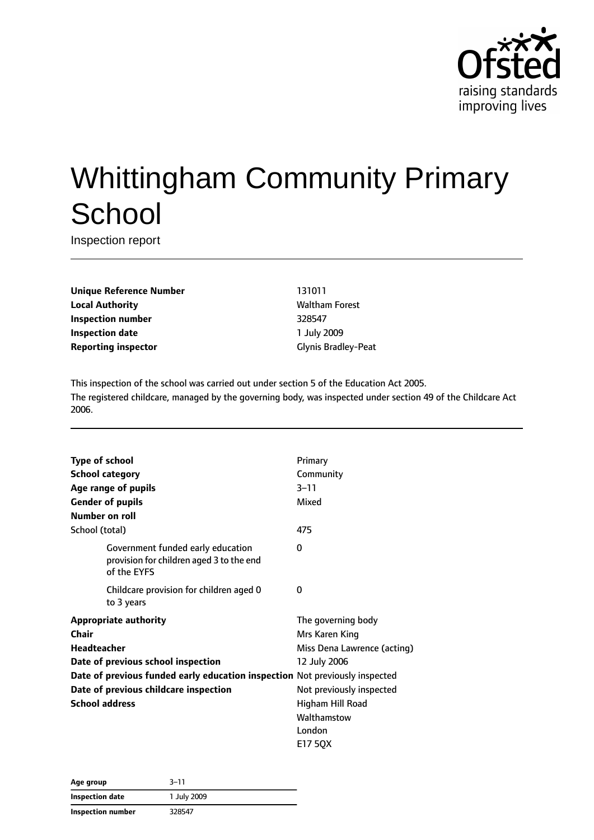

# Whittingham Community Primary **School**

Inspection report

**Unique Reference Number** 131011 **Local Authority Maltham Forest Inspection number** 328547 **Inspection date** 1 July 2009 **Reporting inspector** Glynis Bradley-Peat

This inspection of the school was carried out under section 5 of the Education Act 2005. The registered childcare, managed by the governing body, was inspected under section 49 of the Childcare Act 2006.

| <b>Type of school</b>                 |                                                                               | Primary                     |
|---------------------------------------|-------------------------------------------------------------------------------|-----------------------------|
| <b>School category</b>                |                                                                               | Community                   |
| Age range of pupils                   |                                                                               | $3 - 11$                    |
| <b>Gender of pupils</b>               |                                                                               | Mixed                       |
| Number on roll                        |                                                                               |                             |
| School (total)                        |                                                                               | 475                         |
| of the EYFS                           | Government funded early education<br>provision for children aged 3 to the end | $\Omega$                    |
| to 3 years                            | Childcare provision for children aged 0                                       | 0                           |
| <b>Appropriate authority</b>          |                                                                               | The governing body          |
| <b>Chair</b>                          |                                                                               | Mrs Karen King              |
| <b>Headteacher</b>                    |                                                                               | Miss Dena Lawrence (acting) |
| Date of previous school inspection    |                                                                               | 12 July 2006                |
|                                       | Date of previous funded early education inspection Not previously inspected   |                             |
| Date of previous childcare inspection |                                                                               | Not previously inspected    |
| <b>School address</b>                 |                                                                               | Higham Hill Road            |
|                                       |                                                                               | Walthamstow                 |
|                                       |                                                                               | London                      |
|                                       |                                                                               | E17 50X                     |

| Age group         | $3 - 11$    |  |
|-------------------|-------------|--|
| Inspection date   | 1 July 2009 |  |
| Inspection number | 328547      |  |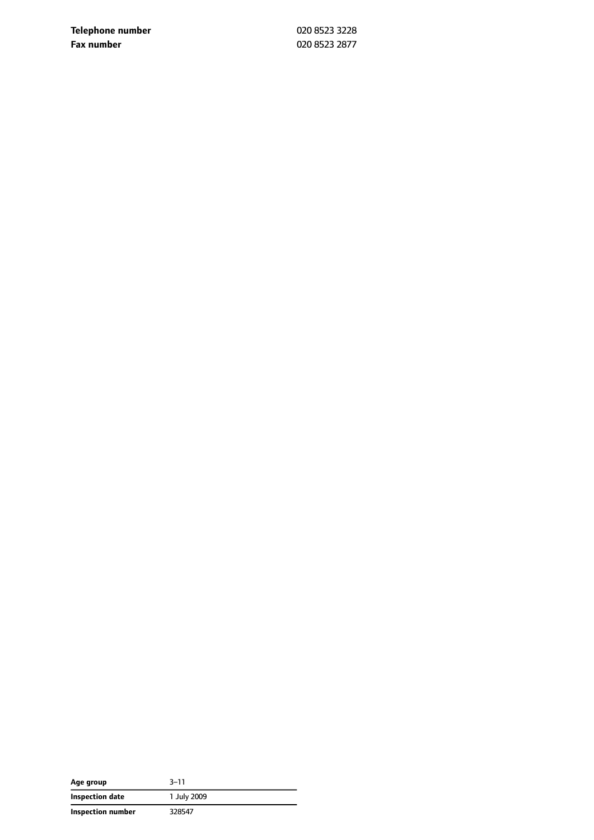**Telephone number** 020 8523 3228 **Fax number** 020 8523 2877

| Age group         | $3 - 11$    |
|-------------------|-------------|
| Inspection date   | 1 July 2009 |
| Inspection number | 328547      |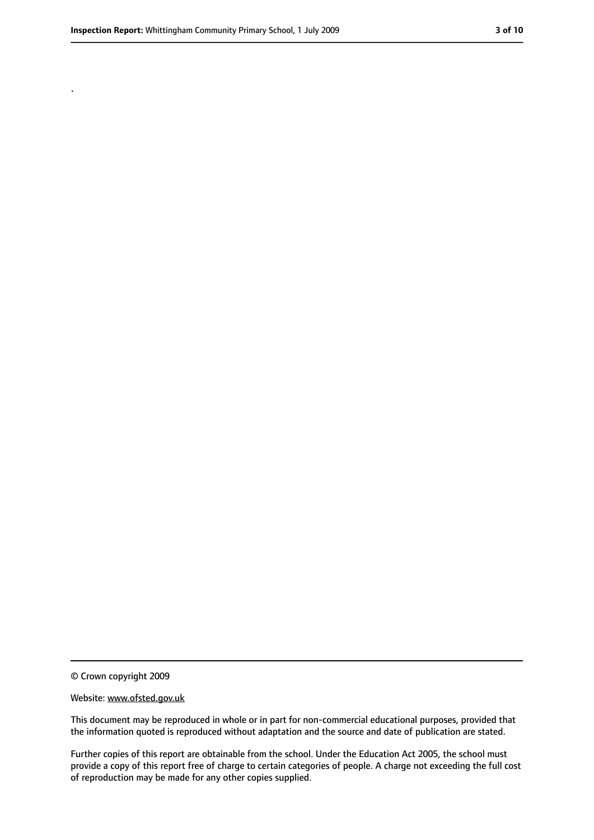.

<sup>©</sup> Crown copyright 2009

Website: www.ofsted.gov.uk

This document may be reproduced in whole or in part for non-commercial educational purposes, provided that the information quoted is reproduced without adaptation and the source and date of publication are stated.

Further copies of this report are obtainable from the school. Under the Education Act 2005, the school must provide a copy of this report free of charge to certain categories of people. A charge not exceeding the full cost of reproduction may be made for any other copies supplied.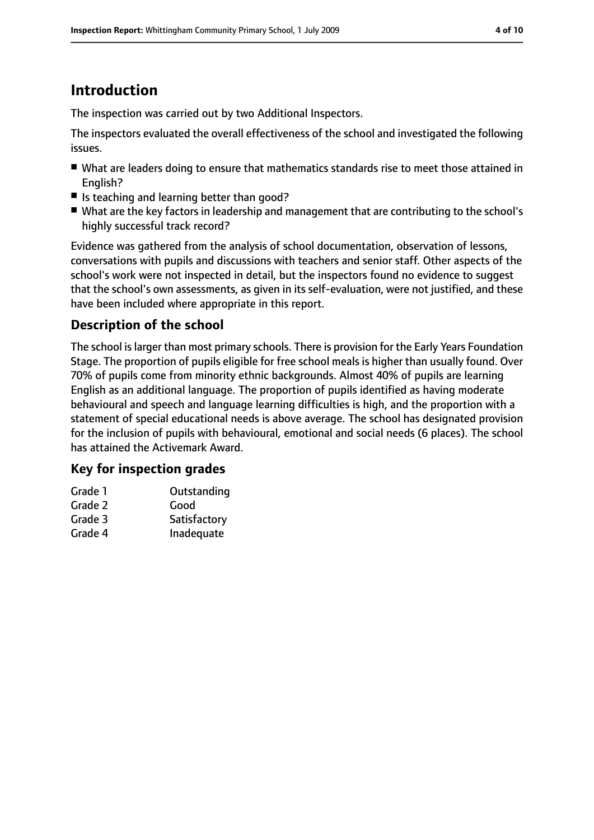# **Introduction**

The inspection was carried out by two Additional Inspectors.

The inspectors evaluated the overall effectiveness of the school and investigated the following issues.

- What are leaders doing to ensure that mathematics standards rise to meet those attained in English?
- Is teaching and learning better than good?
- What are the key factors in leadership and management that are contributing to the school's highly successful track record?

Evidence was gathered from the analysis of school documentation, observation of lessons, conversations with pupils and discussions with teachers and senior staff. Other aspects of the school's work were not inspected in detail, but the inspectors found no evidence to suggest that the school's own assessments, as given in its self-evaluation, were not justified, and these have been included where appropriate in this report.

### **Description of the school**

The school is larger than most primary schools. There is provision for the Early Years Foundation Stage. The proportion of pupils eligible for free school meals is higher than usually found. Over 70% of pupils come from minority ethnic backgrounds. Almost 40% of pupils are learning English as an additional language. The proportion of pupils identified as having moderate behavioural and speech and language learning difficulties is high, and the proportion with a statement of special educational needs is above average. The school has designated provision for the inclusion of pupils with behavioural, emotional and social needs (6 places). The school has attained the Activemark Award.

#### **Key for inspection grades**

| Grade 1 | Outstanding  |
|---------|--------------|
| Grade 2 | Good         |
| Grade 3 | Satisfactory |
| Grade 4 | Inadequate   |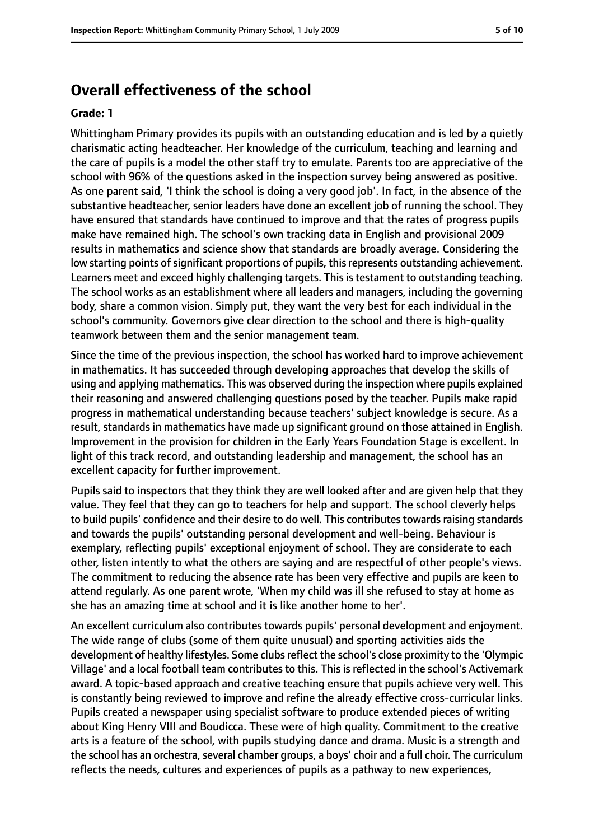#### **Overall effectiveness of the school**

#### **Grade: 1**

Whittingham Primary provides its pupils with an outstanding education and is led by a quietly charismatic acting headteacher. Her knowledge of the curriculum, teaching and learning and the care of pupils is a model the other staff try to emulate. Parents too are appreciative of the school with 96% of the questions asked in the inspection survey being answered as positive. As one parent said, 'I think the school is doing a very good job'. In fact, in the absence of the substantive headteacher, senior leaders have done an excellent job of running the school. They have ensured that standards have continued to improve and that the rates of progress pupils make have remained high. The school's own tracking data in English and provisional 2009 results in mathematics and science show that standards are broadly average. Considering the low starting points of significant proportions of pupils, this represents outstanding achievement. Learners meet and exceed highly challenging targets. This is testament to outstanding teaching. The school works as an establishment where all leaders and managers, including the governing body, share a common vision. Simply put, they want the very best for each individual in the school's community. Governors give clear direction to the school and there is high-quality teamwork between them and the senior management team.

Since the time of the previous inspection, the school has worked hard to improve achievement in mathematics. It has succeeded through developing approaches that develop the skills of using and applying mathematics. This was observed during the inspection where pupils explained their reasoning and answered challenging questions posed by the teacher. Pupils make rapid progress in mathematical understanding because teachers' subject knowledge is secure. As a result, standards in mathematics have made up significant ground on those attained in English. Improvement in the provision for children in the Early Years Foundation Stage is excellent. In light of this track record, and outstanding leadership and management, the school has an excellent capacity for further improvement.

Pupils said to inspectors that they think they are well looked after and are given help that they value. They feel that they can go to teachers for help and support. The school cleverly helps to build pupils' confidence and their desire to do well. This contributes towards raising standards and towards the pupils' outstanding personal development and well-being. Behaviour is exemplary, reflecting pupils' exceptional enjoyment of school. They are considerate to each other, listen intently to what the others are saying and are respectful of other people's views. The commitment to reducing the absence rate has been very effective and pupils are keen to attend regularly. As one parent wrote, 'When my child was ill she refused to stay at home as she has an amazing time at school and it is like another home to her'.

An excellent curriculum also contributes towards pupils' personal development and enjoyment. The wide range of clubs (some of them quite unusual) and sporting activities aids the development of healthy lifestyles. Some clubs reflect the school's close proximity to the 'Olympic Village' and a local football team contributes to this. This is reflected in the school's Activemark award. A topic-based approach and creative teaching ensure that pupils achieve very well. This is constantly being reviewed to improve and refine the already effective cross-curricular links. Pupils created a newspaper using specialist software to produce extended pieces of writing about King Henry VIII and Boudicca. These were of high quality. Commitment to the creative arts is a feature of the school, with pupils studying dance and drama. Music is a strength and the school has an orchestra, several chamber groups, a boys' choir and a full choir. The curriculum reflects the needs, cultures and experiences of pupils as a pathway to new experiences,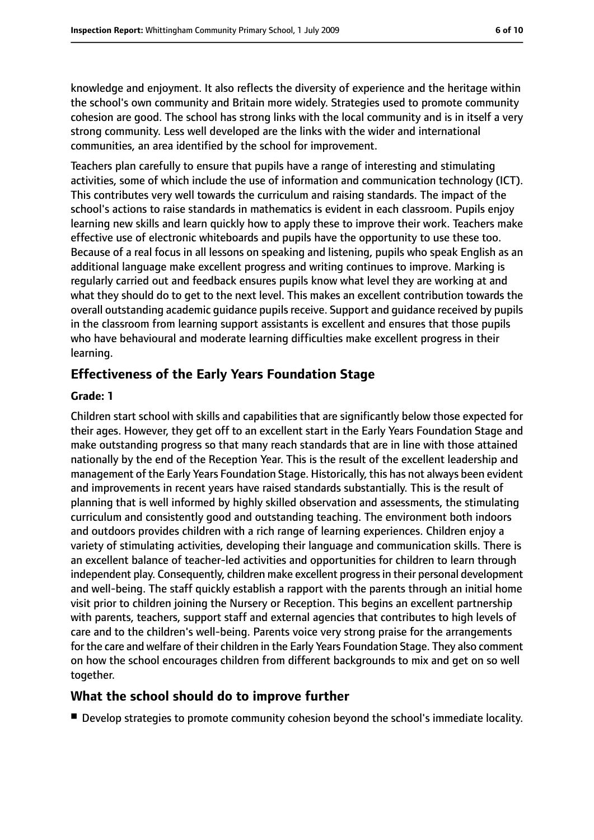knowledge and enjoyment. It also reflects the diversity of experience and the heritage within the school's own community and Britain more widely. Strategies used to promote community cohesion are good. The school has strong links with the local community and is in itself a very strong community. Less well developed are the links with the wider and international communities, an area identified by the school for improvement.

Teachers plan carefully to ensure that pupils have a range of interesting and stimulating activities, some of which include the use of information and communication technology (ICT). This contributes very well towards the curriculum and raising standards. The impact of the school's actions to raise standards in mathematics is evident in each classroom. Pupils enjoy learning new skills and learn quickly how to apply these to improve their work. Teachers make effective use of electronic whiteboards and pupils have the opportunity to use these too. Because of a real focus in all lessons on speaking and listening, pupils who speak English as an additional language make excellent progress and writing continues to improve. Marking is regularly carried out and feedback ensures pupils know what level they are working at and what they should do to get to the next level. This makes an excellent contribution towards the overall outstanding academic guidance pupils receive. Support and guidance received by pupils in the classroom from learning support assistants is excellent and ensures that those pupils who have behavioural and moderate learning difficulties make excellent progress in their learning.

#### **Effectiveness of the Early Years Foundation Stage**

#### **Grade: 1**

Children start school with skills and capabilities that are significantly below those expected for their ages. However, they get off to an excellent start in the Early Years Foundation Stage and make outstanding progress so that many reach standards that are in line with those attained nationally by the end of the Reception Year. This is the result of the excellent leadership and management of the Early Years Foundation Stage. Historically, this has not always been evident and improvements in recent years have raised standards substantially. This is the result of planning that is well informed by highly skilled observation and assessments, the stimulating curriculum and consistently good and outstanding teaching. The environment both indoors and outdoors provides children with a rich range of learning experiences. Children enjoy a variety of stimulating activities, developing their language and communication skills. There is an excellent balance of teacher-led activities and opportunities for children to learn through independent play. Consequently, children make excellent progress in their personal development and well-being. The staff quickly establish a rapport with the parents through an initial home visit prior to children joining the Nursery or Reception. This begins an excellent partnership with parents, teachers, support staff and external agencies that contributes to high levels of care and to the children's well-being. Parents voice very strong praise for the arrangements for the care and welfare of their children in the Early Years Foundation Stage. They also comment on how the school encourages children from different backgrounds to mix and get on so well together.

#### **What the school should do to improve further**

■ Develop strategies to promote community cohesion beyond the school's immediate locality.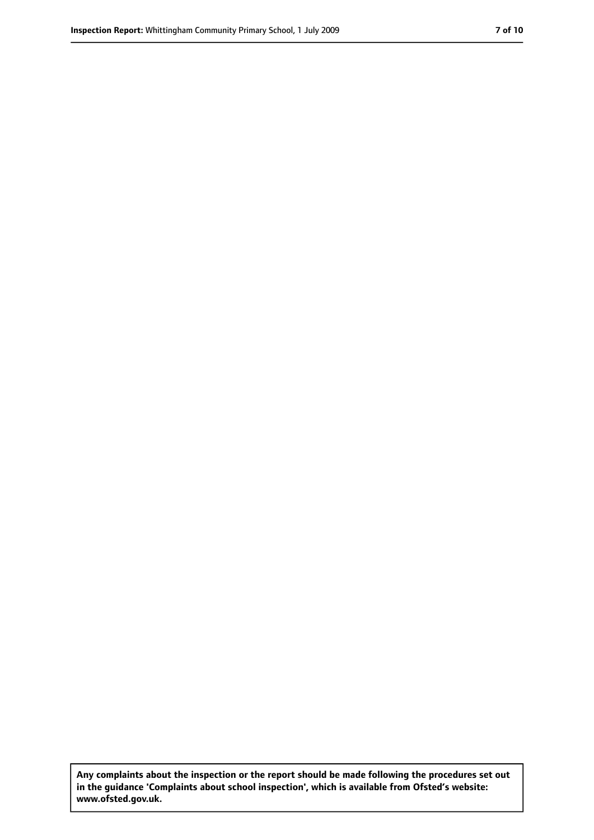**Any complaints about the inspection or the report should be made following the procedures set out in the guidance 'Complaints about school inspection', which is available from Ofsted's website: www.ofsted.gov.uk.**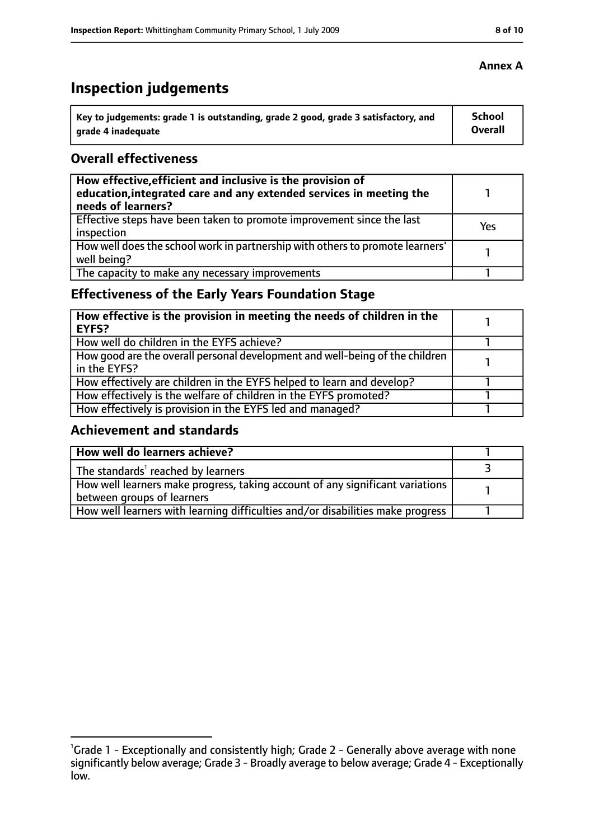# **Inspection judgements**

| Key to judgements: grade 1 is outstanding, grade 2 good, grade 3 satisfactory, and | <b>School</b> |
|------------------------------------------------------------------------------------|---------------|
| grade 4 inadequate                                                                 | Overall       |

#### **Overall effectiveness**

| How effective, efficient and inclusive is the provision of<br>education, integrated care and any extended services in meeting the<br>needs of learners? |     |
|---------------------------------------------------------------------------------------------------------------------------------------------------------|-----|
| Effective steps have been taken to promote improvement since the last<br>inspection                                                                     | Yes |
| How well does the school work in partnership with others to promote learners'<br>well being?                                                            |     |
| The capacity to make any necessary improvements                                                                                                         |     |

### **Effectiveness of the Early Years Foundation Stage**

| How effective is the provision in meeting the needs of children in the<br><b>EYFS?</b>       |  |
|----------------------------------------------------------------------------------------------|--|
| How well do children in the EYFS achieve?                                                    |  |
| How good are the overall personal development and well-being of the children<br>in the EYFS? |  |
| How effectively are children in the EYFS helped to learn and develop?                        |  |
| How effectively is the welfare of children in the EYFS promoted?                             |  |
| How effectively is provision in the EYFS led and managed?                                    |  |

#### **Achievement and standards**

| How well do learners achieve?                                                  |  |
|--------------------------------------------------------------------------------|--|
| The standards <sup>1</sup> reached by learners                                 |  |
| How well learners make progress, taking account of any significant variations  |  |
| between groups of learners                                                     |  |
| How well learners with learning difficulties and/or disabilities make progress |  |

<sup>&</sup>lt;sup>1</sup>Grade 1 - Exceptionally and consistently high; Grade 2 - Generally above average with none significantly below average; Grade 3 - Broadly average to below average; Grade 4 - Exceptionally low.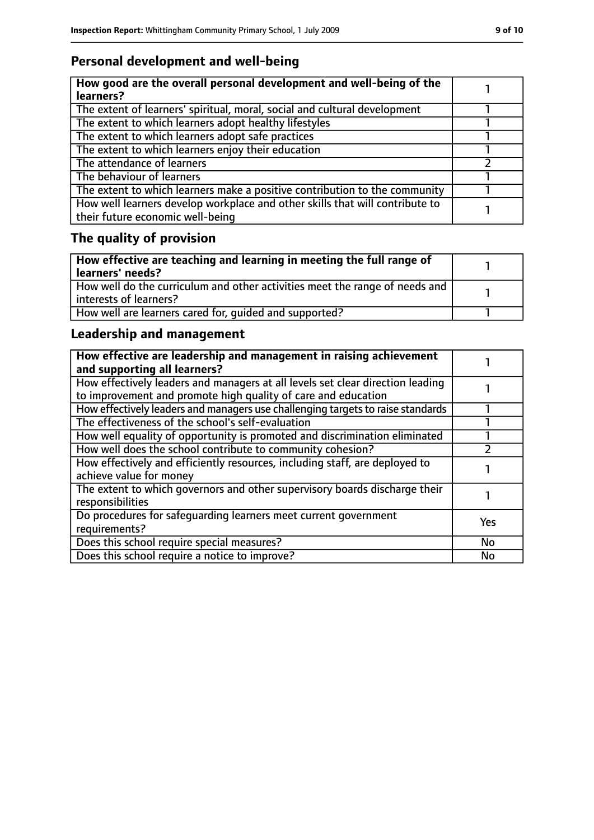### **Personal development and well-being**

| How good are the overall personal development and well-being of the<br>learners?                                 |  |
|------------------------------------------------------------------------------------------------------------------|--|
| The extent of learners' spiritual, moral, social and cultural development                                        |  |
| The extent to which learners adopt healthy lifestyles                                                            |  |
| The extent to which learners adopt safe practices                                                                |  |
| The extent to which learners enjoy their education                                                               |  |
| The attendance of learners                                                                                       |  |
| The behaviour of learners                                                                                        |  |
| The extent to which learners make a positive contribution to the community                                       |  |
| How well learners develop workplace and other skills that will contribute to<br>their future economic well-being |  |

## **The quality of provision**

| How effective are teaching and learning in meeting the full range of<br>learners' needs?              |  |
|-------------------------------------------------------------------------------------------------------|--|
| How well do the curriculum and other activities meet the range of needs and<br>interests of learners? |  |
| How well are learners cared for, quided and supported?                                                |  |

### **Leadership and management**

| How effective are leadership and management in raising achievement<br>and supporting all learners?                                              |            |
|-------------------------------------------------------------------------------------------------------------------------------------------------|------------|
| How effectively leaders and managers at all levels set clear direction leading<br>to improvement and promote high quality of care and education |            |
| How effectively leaders and managers use challenging targets to raise standards                                                                 |            |
| The effectiveness of the school's self-evaluation                                                                                               |            |
| How well equality of opportunity is promoted and discrimination eliminated                                                                      |            |
| How well does the school contribute to community cohesion?                                                                                      |            |
| How effectively and efficiently resources, including staff, are deployed to<br>achieve value for money                                          |            |
| The extent to which governors and other supervisory boards discharge their<br>responsibilities                                                  |            |
| Do procedures for safequarding learners meet current government<br>requirements?                                                                | <b>Yes</b> |
| Does this school require special measures?                                                                                                      | No         |
| Does this school require a notice to improve?                                                                                                   | No         |